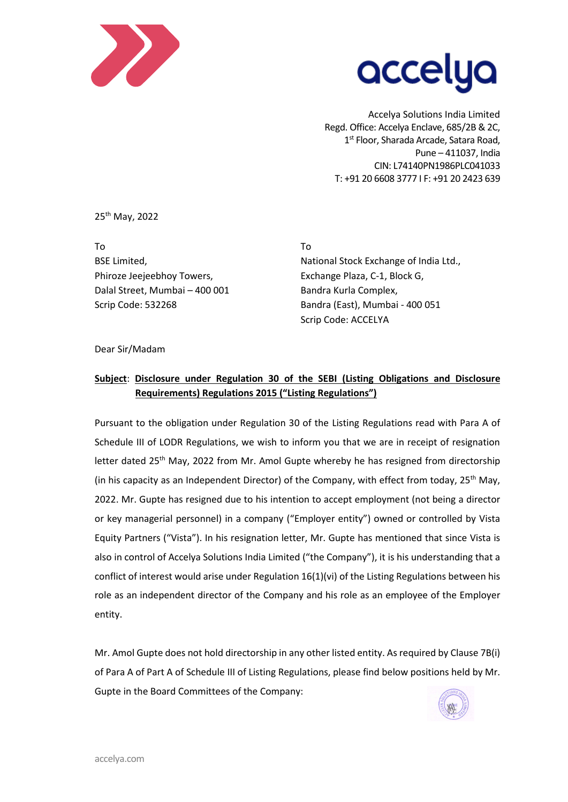



Accelya Solutions India Limited Regd. Office: Accelya Enclave, 685/2B & 2C, 1<sup>st</sup> Floor, Sharada Arcade, Satara Road, Pune – 411037, India CIN: L74140PN1986PLC041033 T: +91 20 6608 3777 I F: +91 20 2423 639

25th May, 2022

To To Phiroze Jeejeebhoy Towers, Exchange Plaza, C-1, Block G, Dalal Street, Mumbai – 400 001 Bandra Kurla Complex,

BSE Limited, National Stock Exchange of India Ltd., Scrip Code: 532268 Bandra (East), Mumbai - 400 051 Scrip Code: ACCELYA

Dear Sir/Madam

## **Subject**: **Disclosure under Regulation 30 of the SEBI (Listing Obligations and Disclosure Requirements) Regulations 2015 ("Listing Regulations")**

Pursuant to the obligation under Regulation 30 of the Listing Regulations read with Para A of Schedule III of LODR Regulations, we wish to inform you that we are in receipt of resignation letter dated 25<sup>th</sup> May, 2022 from Mr. Amol Gupte whereby he has resigned from directorship (in his capacity as an Independent Director) of the Company, with effect from today,  $25<sup>th</sup>$  May, 2022. Mr. Gupte has resigned due to his intention to accept employment (not being a director or key managerial personnel) in a company ("Employer entity") owned or controlled by Vista Equity Partners ("Vista"). In his resignation letter, Mr. Gupte has mentioned that since Vista is also in control of Accelya Solutions India Limited ("the Company"), it is his understanding that a conflict of interest would arise under Regulation 16(1)(vi) of the Listing Regulations between his role as an independent director of the Company and his role as an employee of the Employer entity.

Mr. Amol Gupte does not hold directorship in any other listed entity. As required by Clause 7B(i) of Para A of Part A of Schedule III of Listing Regulations, please find below positions held by Mr. Gupte in the Board Committees of the Company:

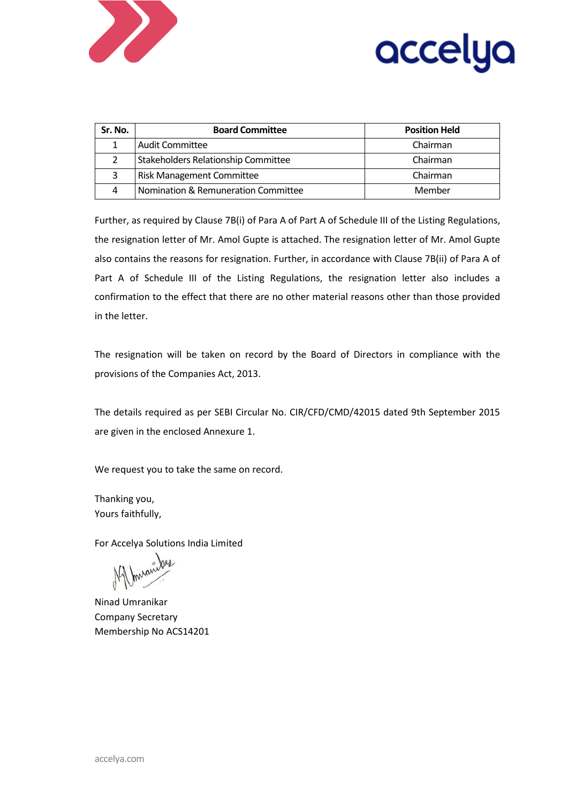



| Sr. No. | <b>Board Committee</b>                        | <b>Position Held</b> |
|---------|-----------------------------------------------|----------------------|
|         | <b>Audit Committee</b>                        | Chairman             |
|         | <b>Stakeholders Relationship Committee</b>    | Chairman             |
|         | <b>Risk Management Committee</b><br>Chairman  |                      |
| Δ       | Nomination & Remuneration Committee<br>Member |                      |

Further, as required by Clause 7B(i) of Para A of Part A of Schedule III of the Listing Regulations, the resignation letter of Mr. Amol Gupte is attached. The resignation letter of Mr. Amol Gupte also contains the reasons for resignation. Further, in accordance with Clause 7B(ii) of Para A of Part A of Schedule III of the Listing Regulations, the resignation letter also includes a confirmation to the effect that there are no other material reasons other than those provided in the letter.

The resignation will be taken on record by the Board of Directors in compliance with the provisions of the Companies Act, 2013.

The details required as per SEBI Circular No. CIR/CFD/CMD/42015 dated 9th September 2015 are given in the enclosed Annexure 1.

We request you to take the same on record.

Thanking you, Yours faithfully,

For Accelya Solutions India Limited

Ninad Umranikar Company Secretary Membership No ACS14201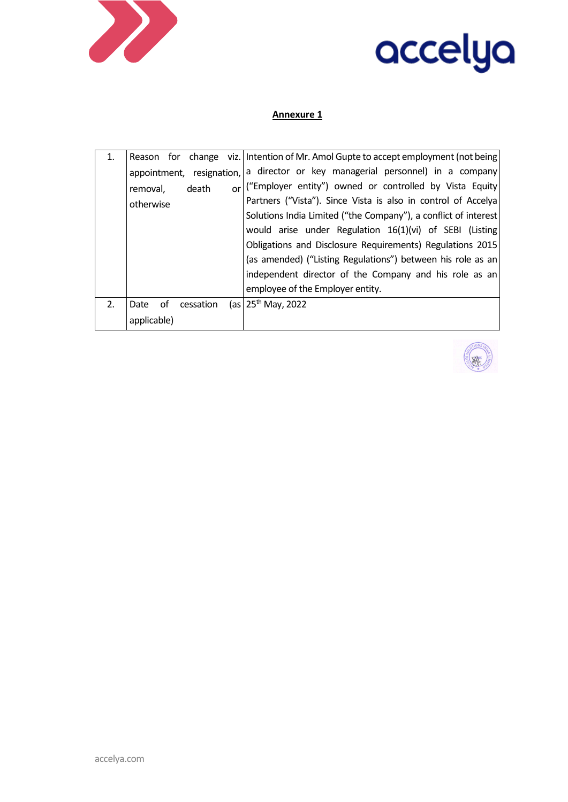



## **Annexure 1**

| 1.        |                                    | Reason for change viz. Intention of Mr. Amol Gupte to accept employment (not being |
|-----------|------------------------------------|------------------------------------------------------------------------------------|
|           |                                    | appointment, resignation, a director or key managerial personnel) in a company     |
|           | death<br>removal.<br><sub>or</sub> | ("Employer entity") owned or controlled by Vista Equity                            |
| otherwise |                                    | Partners ("Vista"). Since Vista is also in control of Accelya                      |
|           |                                    | Solutions India Limited ("the Company"), a conflict of interest                    |
|           |                                    | would arise under Regulation 16(1)(vi) of SEBI (Listing                            |
|           |                                    | Obligations and Disclosure Requirements) Regulations 2015                          |
|           |                                    | (as amended) ("Listing Regulations") between his role as an                        |
|           |                                    | independent director of the Company and his role as an                             |
|           |                                    | employee of the Employer entity.                                                   |
| 2.        | 0f<br>Date<br>cessation            | (as $25^{th}$ May, 2022                                                            |
|           | applicable)                        |                                                                                    |

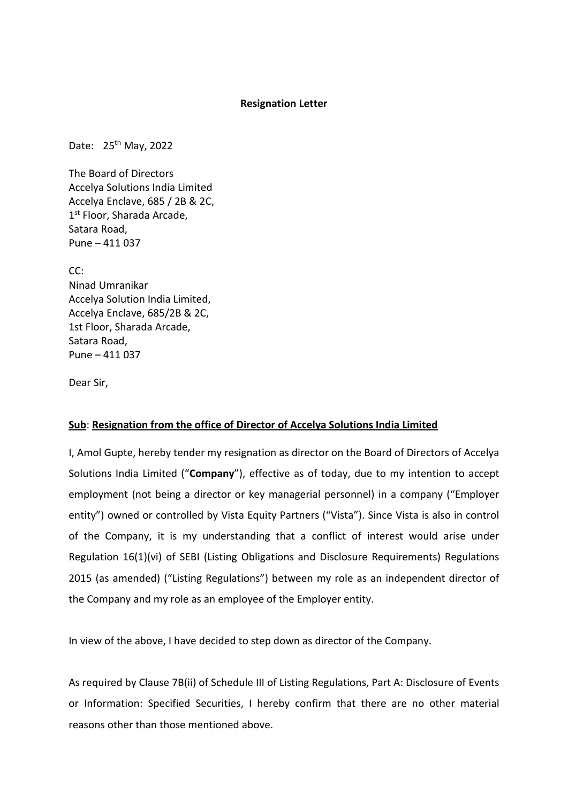## **Resignation Letter**

Date: 25th May, 2022

The Board of Directors Accelya Solutions India Limited Accelya Enclave, 685 / 2B & 2C, 1st Floor, Sharada Arcade, Satara Road, Pune – 411 037

 $CC^{\cdot}$ Ninad Umranikar Accelya Solution India Limited, Accelya Enclave, 685/2B & 2C, 1st Floor, Sharada Arcade, Satara Road, Pune – 411 037

Dear Sir,

## **Sub**: **Resignation from the office of Director of Accelya Solutions India Limited**

I, Amol Gupte, hereby tender my resignation as director on the Board of Directors of Accelya Solutions India Limited ("**Company**"), effective as of today, due to my intention to accept employment (not being a director or key managerial personnel) in a company ("Employer entity") owned or controlled by Vista Equity Partners ("Vista"). Since Vista is also in control of the Company, it is my understanding that a conflict of interest would arise under Regulation 16(1)(vi) of SEBI (Listing Obligations and Disclosure Requirements) Regulations 2015 (as amended) ("Listing Regulations") between my role as an independent director of the Company and my role as an employee of the Employer entity.

In view of the above, I have decided to step down as director of the Company.

As required by Clause 7B(ii) of Schedule III of Listing Regulations, Part A: Disclosure of Events or Information: Specified Securities, I hereby confirm that there are no other material reasons other than those mentioned above.